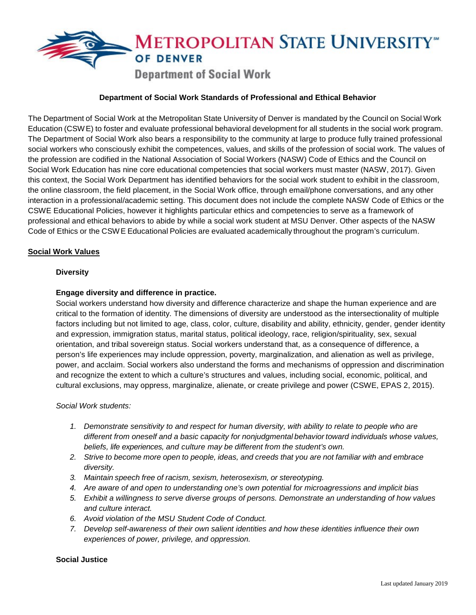

# **Department of Social Work Standards of Professional and Ethical Behavior**

The Department of Social Work at the Metropolitan State University of Denver is mandated by the Council on Social Work Education (CSWE) to foster and evaluate professional behavioral development for all students in the social work program. The Department of Social Work also bears a responsibility to the community at large to produce fully trained professional social workers who consciously exhibit the competences, values, and skills of the profession of social work. The values of the profession are codified in the National Association of Social Workers (NASW) Code of Ethics and the Council on Social Work Education has nine core educational competencies that social workers must master (NASW, 2017). Given this context, the Social Work Department has identified behaviors for the social work student to exhibit in the classroom, the online classroom, the field placement, in the Social Work office, through email/phone conversations, and any other interaction in a professional/academic setting. This document does not include the complete NASW Code of Ethics or the CSWE Educational Policies, however it highlights particular ethics and competencies to serve as a framework of professional and ethical behaviors to abide by while a social work student at MSU Denver. Other aspects of the NASW Code of Ethics or the CSWE Educational Policies are evaluated academically throughout the program's curriculum.

### **Social Work Values**

#### **Diversity**

#### **Engage diversity and difference in practice.**

Social workers understand how diversity and difference characterize and shape the human experience and are critical to the formation of identity. The dimensions of diversity are understood as the intersectionality of multiple factors including but not limited to age, class, color, culture, disability and ability, ethnicity, gender, gender identity and expression, immigration status, marital status, political ideology, race, religion/spirituality, sex, sexual orientation, and tribal sovereign status. Social workers understand that, as a consequence of difference, a person's life experiences may include oppression, poverty, marginalization, and alienation as well as privilege, power, and acclaim. Social workers also understand the forms and mechanisms of oppression and discrimination and recognize the extent to which a culture's structures and values, including social, economic, political, and cultural exclusions, may oppress, marginalize, alienate, or create privilege and power (CSWE, EPAS 2, 2015).

#### *Social Work students:*

- *1. Demonstrate sensitivity to and respect for human diversity, with ability to relate to people who are different from oneself and a basic capacity for nonjudgmental behavior toward individuals whose values, beliefs, life experiences, and culture may be different from the student's own.*
- 2. Strive to become more open to people, ideas, and creeds that you are not familiar with and embrace *diversity.*
- *3. Maintain speech free of racism, sexism, heterosexism, or stereotyping.*
- *4. Are aware of and open to understanding one's own potential for microagressions and implicit bias*
- *5. Exhibit a willingness to serve diverse groups of persons. Demonstrate an understanding of how values and culture interact.*
- *6. Avoid violation of the MSU Student Code of Conduct.*
- *7. Develop self-awareness of their own salient identities and how these identities influence their own experiences of power, privilege, and oppression.*

#### **Social Justice**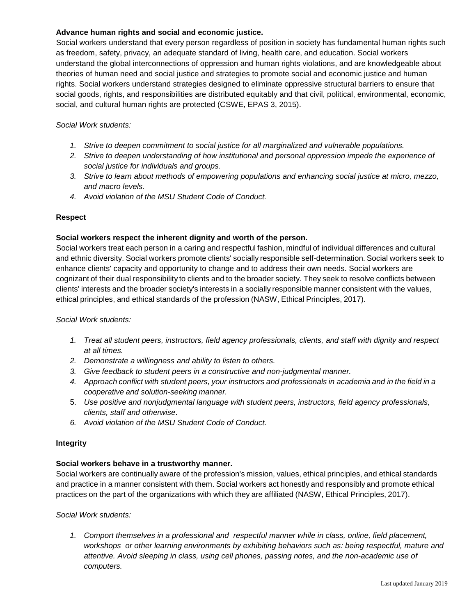## **Advance human rights and social and economic justice.**

Social workers understand that every person regardless of position in society has fundamental human rights such as freedom, safety, privacy, an adequate standard of living, health care, and education. Social workers understand the global interconnections of oppression and human rights violations, and are knowledgeable about theories of human need and social justice and strategies to promote social and economic justice and human rights. Social workers understand strategies designed to eliminate oppressive structural barriers to ensure that social goods, rights, and responsibilities are distributed equitably and that civil, political, environmental, economic, social, and cultural human rights are protected (CSWE, EPAS 3, 2015).

## *Social Work students:*

- *1. Strive to deepen commitment to social justice for all marginalized and vulnerable populations.*
- *2. Strive to deepen understanding of how institutional and personal oppression impede the experience of social justice for individuals and groups.*
- *3. Strive to learn about methods of empowering populations and enhancing social justice at micro, mezzo, and macro levels.*
- *4. Avoid violation of the MSU Student Code of Conduct.*

# **Respect**

## **Social workers respect the inherent dignity and worth of the person.**

Social workers treat each person in a caring and respectful fashion, mindful of individual differences and cultural and ethnic diversity. Social workers promote clients' socially responsible self-determination. Social workers seek to enhance clients' capacity and opportunity to change and to address their own needs. Social workers are cognizant of their dual responsibility to clients and to the broader society. They seek to resolve conflicts between clients' interests and the broader society's interests in a socially responsible manner consistent with the values, ethical principles, and ethical standards of the profession (NASW, Ethical Principles, 2017).

## *Social Work students:*

- *1. Treat all student peers, instructors, field agency professionals, clients, and staff with dignity and respect at all times.*
- *2. Demonstrate a willingness and ability to listen to others.*
- *3. Give feedback to student peers in a constructive and non-judgmental manner.*
- 4. Approach conflict with student peers, your instructors and professionals in academia and in the field in a *cooperative and solution-seeking manner.*
- 5. *Use positive and nonjudgmental language with student peers, instructors, field agency professionals, clients, staff and otherwise*.
- *6. Avoid violation of the MSU Student Code of Conduct.*

## **Integrity**

## **Social workers behave in a trustworthy manner.**

Social workers are continually aware of the profession's mission, values, ethical principles, and ethical standards and practice in a manner consistent with them. Social workers act honestly and responsibly and promote ethical practices on the part of the organizations with which they are affiliated (NASW, Ethical Principles, 2017).

### *Social Work students:*

*1. Comport themselves in a professional and respectful manner while in class, online, field placement, workshops or other learning environments by exhibiting behaviors such as: being respectful, mature and attentive. Avoid sleeping in class, using cell phones, passing notes, and the non-academic use of computers.*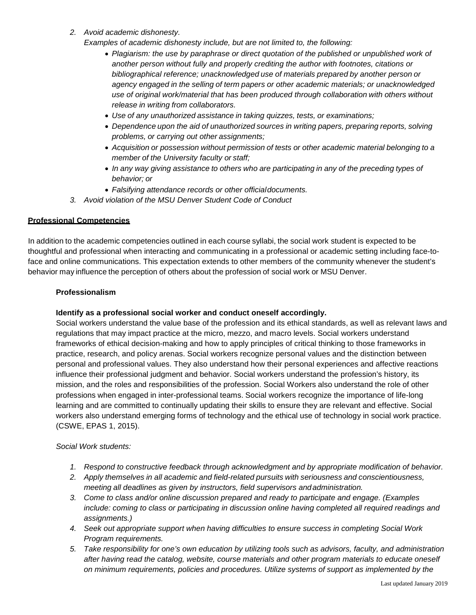*2. Avoid academic dishonesty.*

*Examples of academic dishonesty include, but are not limited to, the following:*

- *Plagiarism: the use by paraphrase or direct quotation of the published or unpublished work of another person without fully and properly crediting the author with footnotes, citations or bibliographical reference; unacknowledged use of materials prepared by another person or agency engaged in the selling of term papers or other academic materials; or unacknowledged use of original work/material that has been produced through collaboration with others without release in writing from collaborators.*
- *Use of any unauthorized assistance in taking quizzes, tests, or examinations;*
- *Dependence upon the aid of unauthorized sources in writing papers, preparing reports, solving problems, or carrying out other assignments;*
- *Acquisition or possession without permission of tests or other academic material belonging to a member of the University faculty or staff;*
- *In any way giving assistance to others who are participating in any of the preceding types of behavior; or*
- *Falsifying attendance records or other officialdocuments.*
- *3. Avoid violation of the MSU Denver Student Code of Conduct*

# **Professional Competencies**

In addition to the academic competencies outlined in each course syllabi, the social work student is expected to be thoughtful and professional when interacting and communicating in a professional or academic setting including face-toface and online communications. This expectation extends to other members of the community whenever the student's behavior may influence the perception of others about the profession of social work or MSU Denver.

## **Professionalism**

## **Identify as a professional social worker and conduct oneself accordingly.**

Social workers understand the value base of the profession and its ethical standards, as well as relevant laws and regulations that may impact practice at the micro, mezzo, and macro levels. Social workers understand frameworks of ethical decision-making and how to apply principles of critical thinking to those frameworks in practice, research, and policy arenas. Social workers recognize personal values and the distinction between personal and professional values. They also understand how their personal experiences and affective reactions influence their professional judgment and behavior. Social workers understand the profession's history, its mission, and the roles and responsibilities of the profession. Social Workers also understand the role of other professions when engaged in inter-professional teams. Social workers recognize the importance of life-long learning and are committed to continually updating their skills to ensure they are relevant and effective. Social workers also understand emerging forms of technology and the ethical use of technology in social work practice. (CSWE, EPAS 1, 2015).

## *Social Work students:*

- *1. Respond to constructive feedback through acknowledgment and by appropriate modification of behavior.*
- *2. Apply themselves in all academic and field-related pursuits with seriousness and conscientiousness, meeting all deadlines as given by instructors, field supervisors andadministration.*
- *3. Come to class and/or online discussion prepared and ready to participate and engage. (Examples include: coming to class or participating in discussion online having completed all required readings and assignments.)*
- *4. Seek out appropriate support when having difficulties to ensure success in completing Social Work Program requirements.*
- *5. Take responsibility for one's own education by utilizing tools such as advisors, faculty, and administration after having* r*ead the catalog, website, course materials and other program materials to educate oneself on minimum requirements, policies and procedures. Utilize systems of support as implemented by the*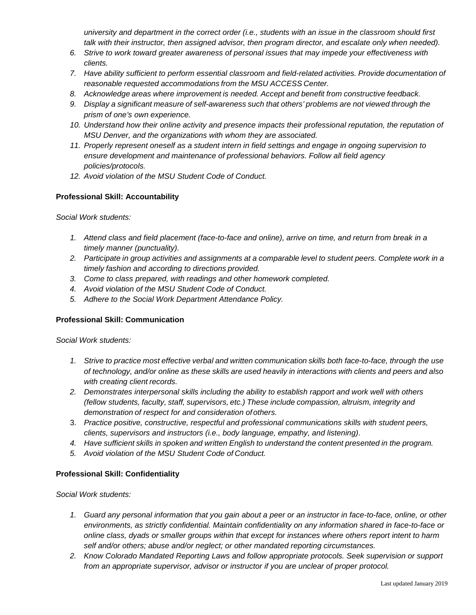*university and department in the correct order (i.e., students with an issue in the classroom should first talk with their instructor, then assigned advisor, then program director, and escalate only when needed).*

- *6. Strive to work toward greater awareness of personal issues that may impede your effectiveness with clients.*
- *7. Have ability sufficient to perform essential classroom and field-related activities. Provide documentation of reasonable requested accommodations from the MSU ACCESS Center.*
- *8. Acknowledge areas where improvement is needed. Accept and benefit from constructive feedback.*
- *9. Display a significant measure of self-awareness such that others' problems are not viewed through the prism of one's own experience.*
- 10. Understand how their online activity and presence impacts their professional reputation, the reputation of *MSU Denver, and the organizations with whom they are associated.*
- *11. Properly represent oneself as a student intern in field settings and engage in ongoing supervision to ensure development and maintenance of professional behaviors. Follow all field agency policies/protocols.*
- *12. Avoid violation of the MSU Student Code of Conduct.*

## **Professional Skill: Accountability**

*Social Work students:*

- *1. Attend class and field placement (face-to-face and online), arrive on time, and return from break in a timely manner (punctuality).*
- 2. Participate in group activities and assignments at a comparable level to student peers. Complete work in a *timely fashion and according to directions provided.*
- *3. Come to class prepared, with readings and other homework completed.*
- *4. Avoid violation of the MSU Student Code of Conduct.*
- *5. Adhere to the Social Work Department Attendance Policy.*

## **Professional Skill: Communication**

*Social Work students:*

- *1. Strive to practice most effective verbal and written communication skills both face-to-face, through the use* of technology, and/or online as these skills are used heavily in interactions with clients and peers and also *with creating client records.*
- *2. Demonstrates interpersonal skills including the ability to establish rapport and work well with others (fellow students, faculty, staff, supervisors, etc.) These include compassion, altruism, integrity and demonstration of respect for and consideration ofothers.*
- 3. *Practice positive, constructive, respectful and professional communications skills with student peers, clients, supervisors and instructors (i.e., body language, empathy, and listening)*.
- 4. Have sufficient skills in spoken and written English to understand the content presented in the program.
- *5. Avoid violation of the MSU Student Code of Conduct.*

## **Professional Skill: Confidentiality**

*Social Work students:*

- *1. Guard any personal information that you gain about a peer or an instructor in face-to-face, online, or other environments, as strictly confidential. Maintain confidentiality on any information shared in face-to-face or online class, dyads or smaller groups within that except for instances where others report intent to harm self and/or others; abuse and/or neglect; or other mandated reporting circumstances.*
- *2. Know Colorado Mandated Reporting Laws and follow appropriate protocols. Seek supervision or support from an appropriate supervisor, advisor or instructor if you are unclear of proper protocol.*